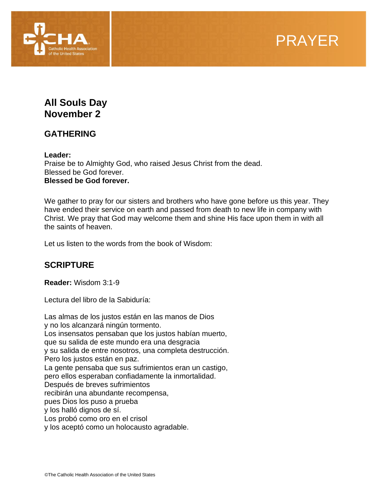

# **All Souls Day November 2**

## **GATHERING**

**Leader:** 

Praise be to Almighty God, who raised Jesus Christ from the dead. Blessed be God forever. **Blessed be God forever.**

We gather to pray for our sisters and brothers who have gone before us this year. They have ended their service on earth and passed from death to new life in company with Christ. We pray that God may welcome them and shine His face upon them in with all the saints of heaven.

Let us listen to the words from the book of Wisdom:

## **SCRIPTURE**

**Reader:** Wisdom 3:1-9

Lectura del libro de la Sabiduría:

Las almas de los justos están en las manos de Dios y no los alcanzará ningún tormento. Los insensatos pensaban que los justos habían muerto, que su salida de este mundo era una desgracia y su salida de entre nosotros, una completa destrucción. Pero los justos están en paz. La gente pensaba que sus sufrimientos eran un castigo, pero ellos esperaban confiadamente la inmortalidad. Después de breves sufrimientos recibirán una abundante recompensa, pues Dios los puso a prueba y los halló dignos de sí. Los probó como oro en el crisol y los aceptó como un holocausto agradable.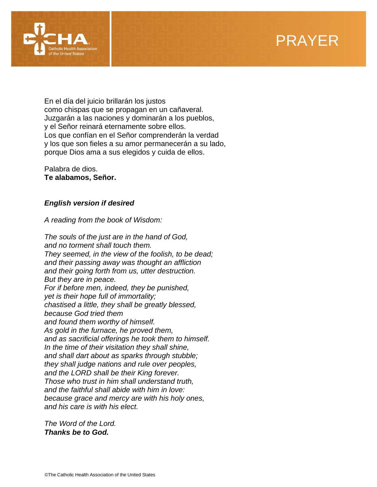



En el día del juicio brillarán los justos como chispas que se propagan en un cañaveral. Juzgarán a las naciones y dominarán a los pueblos, y el Señor reinará eternamente sobre ellos. Los que confían en el Señor comprenderán la verdad y los que son fieles a su amor permanecerán a su lado, porque Dios ama a sus elegidos y cuida de ellos.

Palabra de dios. **Te alabamos, Señor.**

## *English version if desired*

*A reading from the book of Wisdom:*

*The souls of the just are in the hand of God, and no torment shall touch them. They seemed, in the view of the foolish, to be dead; and their passing away was thought an affliction and their going forth from us, utter destruction. But they are in peace. For if before men, indeed, they be punished, yet is their hope full of immortality; chastised a little, they shall be greatly blessed, because God tried them and found them worthy of himself. As gold in the furnace, he proved them, and as sacrificial offerings he took them to himself. In the time of their visitation they shall shine, and shall dart about as sparks through stubble; they shall judge nations and rule over peoples, and the LORD shall be their King forever. Those who trust in him shall understand truth, and the faithful shall abide with him in love: because grace and mercy are with his holy ones, and his care is with his elect.*

*The Word of the Lord. Thanks be to God.*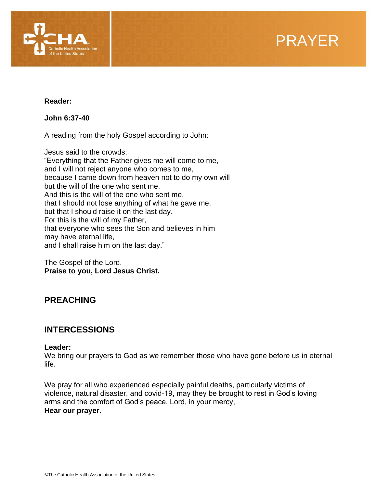

**Reader:** 

**[John 6:37-40](https://bible.usccb.org/bible/John/6?37)**

A reading from the holy Gospel according to John:

Jesus said to the crowds: "Everything that the Father gives me will come to me, and I will not reject anyone who comes to me, because I came down from heaven not to do my own will but the will of the one who sent me. And this is the will of the one who sent me, that I should not lose anything of what he gave me, but that I should raise it on the last day. For this is the will of my Father, that everyone who sees the Son and believes in him may have eternal life, and I shall raise him on the last day."

The Gospel of the Lord. **Praise to you, Lord Jesus Christ.**

# **PREACHING**

## **INTERCESSIONS**

## **Leader:**

We bring our prayers to God as we remember those who have gone before us in eternal life.

We pray for all who experienced especially painful deaths, particularly victims of violence, natural disaster, and covid-19, may they be brought to rest in God's loving arms and the comfort of God's peace. Lord, in your mercy, **Hear our prayer.**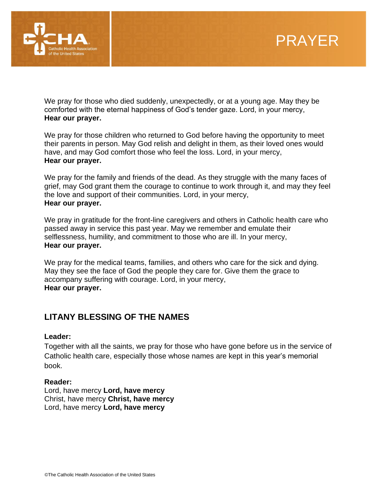

We pray for those who died suddenly, unexpectedly, or at a young age. May they be comforted with the eternal happiness of God's tender gaze. Lord, in your mercy, **Hear our prayer.**

We pray for those children who returned to God before having the opportunity to meet their parents in person. May God relish and delight in them, as their loved ones would have, and may God comfort those who feel the loss. Lord, in your mercy, **Hear our prayer.**

We pray for the family and friends of the dead. As they struggle with the many faces of grief, may God grant them the courage to continue to work through it, and may they feel the love and support of their communities. Lord, in your mercy, **Hear our prayer.**

We pray in gratitude for the front-line caregivers and others in Catholic health care who passed away in service this past year. May we remember and emulate their selflessness, humility, and commitment to those who are ill. In your mercy, **Hear our prayer.**

We pray for the medical teams, families, and others who care for the sick and dying. May they see the face of God the people they care for. Give them the grace to accompany suffering with courage. Lord, in your mercy, **Hear our prayer.**

# **LITANY BLESSING OF THE NAMES**

## **Leader:**

Together with all the saints, we pray for those who have gone before us in the service of Catholic health care, especially those whose names are kept in this year's memorial book.

#### **Reader:**

Lord, have mercy **Lord, have mercy** Christ, have mercy **Christ, have mercy** Lord, have mercy **Lord, have mercy**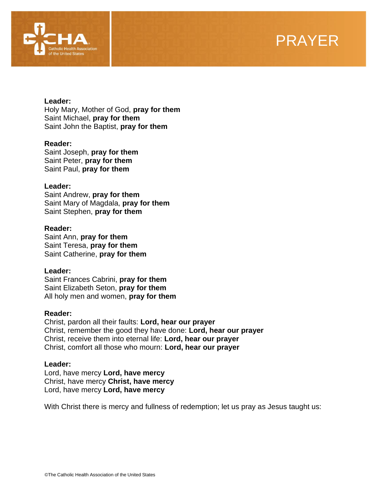

# PRAYER

#### **Leader:**

Holy Mary, Mother of God, **pray for them**  Saint Michael, **pray for them**  Saint John the Baptist, **pray for them** 

#### **Reader:**

Saint Joseph, **pray for them** Saint Peter, **pray for them** Saint Paul, **pray for them**

#### **Leader:**

Saint Andrew, **pray for them** Saint Mary of Magdala, **pray for them** Saint Stephen, **pray for them**

#### **Reader:**

Saint Ann, **pray for them** Saint Teresa, **pray for them** Saint Catherine, **pray for them**

#### **Leader:**

Saint Frances Cabrini, **pray for them** Saint Elizabeth Seton, **pray for them** All holy men and women, **pray for them**

#### **Reader:**

Christ, pardon all their faults: **Lord, hear our prayer** Christ, remember the good they have done: **Lord, hear our prayer** Christ, receive them into eternal life: **Lord, hear our prayer** Christ, comfort all those who mourn: **Lord, hear our prayer**

#### **Leader:**

Lord, have mercy **Lord, have mercy** Christ, have mercy **Christ, have mercy** Lord, have mercy **Lord, have mercy**

With Christ there is mercy and fullness of redemption; let us pray as Jesus taught us: